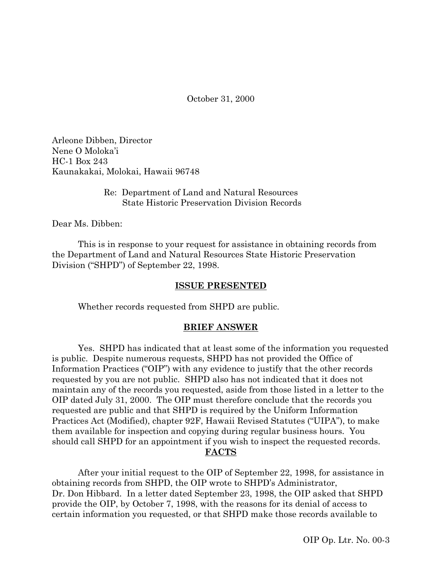October 31, 2000

Arleone Dibben, Director Nene O Moloka'i HC-1 Box 243 Kaunakakai, Molokai, Hawaii 96748

### Re: Department of Land and Natural Resources State Historic Preservation Division Records

Dear Ms. Dibben:

This is in response to your request for assistance in obtaining records from the Department of Land and Natural Resources State Historic Preservation Division ("SHPD") of September 22, 1998.

### **ISSUE PRESENTED**

Whether records requested from SHPD are public.

### **BRIEF ANSWER**

Yes. SHPD has indicated that at least some of the information you requested is public. Despite numerous requests, SHPD has not provided the Office of Information Practices ("OIP") with any evidence to justify that the other records requested by you are not public. SHPD also has not indicated that it does not maintain any of the records you requested, aside from those listed in a letter to the OIP dated July 31, 2000. The OIP must therefore conclude that the records you requested are public and that SHPD is required by the Uniform Information Practices Act (Modified), chapter 92F, Hawaii Revised Statutes ("UIPA"), to make them available for inspection and copying during regular business hours. You should call SHPD for an appointment if you wish to inspect the requested records. **FACTS**

After your initial request to the OIP of September 22, 1998, for assistance in obtaining records from SHPD, the OIP wrote to SHPD's Administrator, Dr. Don Hibbard. In a letter dated September 23, 1998, the OIP asked that SHPD provide the OIP, by October 7, 1998, with the reasons for its denial of access to certain information you requested, or that SHPD make those records available to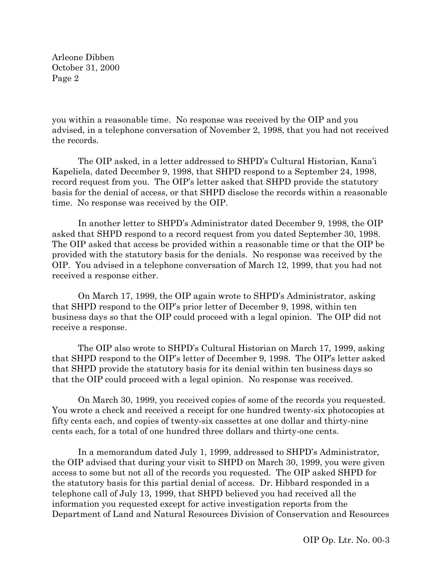you within a reasonable time. No response was received by the OIP and you advised, in a telephone conversation of November 2, 1998, that you had not received the records.

The OIP asked, in a letter addressed to SHPD's Cultural Historian, Kana'i Kapeliela, dated December 9, 1998, that SHPD respond to a September 24, 1998, record request from you. The OIP's letter asked that SHPD provide the statutory basis for the denial of access, or that SHPD disclose the records within a reasonable time. No response was received by the OIP.

In another letter to SHPD's Administrator dated December 9, 1998, the OIP asked that SHPD respond to a record request from you dated September 30, 1998. The OIP asked that access be provided within a reasonable time or that the OIP be provided with the statutory basis for the denials. No response was received by the OIP. You advised in a telephone conversation of March 12, 1999, that you had not received a response either.

On March 17, 1999, the OIP again wrote to SHPD's Administrator, asking that SHPD respond to the OIP's prior letter of December 9, 1998, within ten business days so that the OIP could proceed with a legal opinion. The OIP did not receive a response.

The OIP also wrote to SHPD's Cultural Historian on March 17, 1999, asking that SHPD respond to the OIP's letter of December 9, 1998. The OIP's letter asked that SHPD provide the statutory basis for its denial within ten business days so that the OIP could proceed with a legal opinion. No response was received.

On March 30, 1999, you received copies of some of the records you requested. You wrote a check and received a receipt for one hundred twenty-six photocopies at fifty cents each, and copies of twenty-six cassettes at one dollar and thirty-nine cents each, for a total of one hundred three dollars and thirty-one cents.

In a memorandum dated July 1, 1999, addressed to SHPD's Administrator, the OIP advised that during your visit to SHPD on March 30, 1999, you were given access to some but not all of the records you requested. The OIP asked SHPD for the statutory basis for this partial denial of access. Dr. Hibbard responded in a telephone call of July 13, 1999, that SHPD believed you had received all the information you requested except for active investigation reports from the Department of Land and Natural Resources Division of Conservation and Resources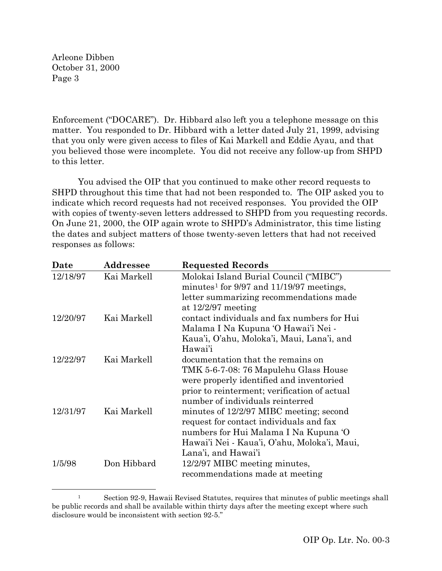Enforcement ("DOCARE"). Dr. Hibbard also left you a telephone message on this matter. You responded to Dr. Hibbard with a letter dated July 21, 1999, advising that you only were given access to files of Kai Markell and Eddie Ayau, and that you believed those were incomplete. You did not receive any follow-up from SHPD to this letter.

You advised the OIP that you continued to make other record requests to SHPD throughout this time that had not been responded to. The OIP asked you to indicate which record requests had not received responses. You provided the OIP with copies of twenty-seven letters addressed to SHPD from you requesting records. On June 21, 2000, the OIP again wrote to SHPD's Administrator, this time listing the dates and subject matters of those twenty-seven letters that had not received responses as follows:

| Date     | Addressee   | <b>Requested Records</b>                                 |
|----------|-------------|----------------------------------------------------------|
| 12/18/97 | Kai Markell | Molokai Island Burial Council ("MIBC")                   |
|          |             | minutes <sup>1</sup> for $9/97$ and $11/19/97$ meetings, |
|          |             | letter summarizing recommendations made                  |
|          |             | at $12/2/97$ meeting                                     |
| 12/20/97 | Kai Markell | contact individuals and fax numbers for Hui              |
|          |             | Malama I Na Kupuna 'O Hawai'i Nei -                      |
|          |             | Kaua'i, O'ahu, Moloka'i, Maui, Lana'i, and               |
|          |             | Hawai'i                                                  |
| 12/22/97 | Kai Markell | documentation that the remains on                        |
|          |             | TMK 5-6-7-08: 76 Mapulehu Glass House                    |
|          |             | were properly identified and inventoried                 |
|          |             | prior to reinterment; verification of actual             |
|          |             | number of individuals reinterred                         |
| 12/31/97 | Kai Markell | minutes of 12/2/97 MIBC meeting; second                  |
|          |             | request for contact individuals and fax                  |
|          |             | numbers for Hui Malama I Na Kupuna 'O                    |
|          |             | Hawai'i Nei - Kaua'i, O'ahu, Moloka'i, Maui,             |
|          |             | Lana'i, and Hawai'i                                      |
| 1/5/98   | Don Hibbard | 12/2/97 MIBC meeting minutes,                            |
|          |             | recommendations made at meeting                          |
|          |             |                                                          |

<span id="page-2-0"></span> <sup>1</sup> Section 92-9, Hawaii Revised Statutes, requires that minutes of public meetings shall be public records and shall be available within thirty days after the meeting except where such disclosure would be inconsistent with section 92-5."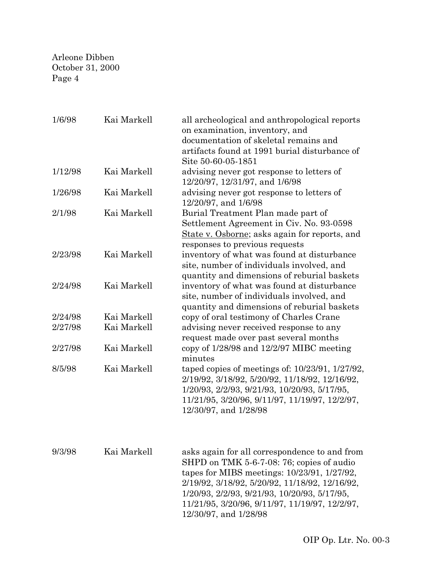| 1/6/98  | Kai Markell | all archeological and anthropological reports<br>on examination, inventory, and<br>documentation of skeletal remains and<br>artifacts found at 1991 burial disturbance of<br>Site 50-60-05-1851                                    |
|---------|-------------|------------------------------------------------------------------------------------------------------------------------------------------------------------------------------------------------------------------------------------|
| 1/12/98 | Kai Markell | advising never got response to letters of<br>12/20/97, 12/31/97, and 1/6/98                                                                                                                                                        |
| 1/26/98 | Kai Markell | advising never got response to letters of<br>12/20/97, and 1/6/98                                                                                                                                                                  |
| 2/1/98  | Kai Markell | Burial Treatment Plan made part of<br>Settlement Agreement in Civ. No. 93-0598<br>State v. Osborne; asks again for reports, and<br>responses to previous requests                                                                  |
| 2/23/98 | Kai Markell | inventory of what was found at disturbance<br>site, number of individuals involved, and<br>quantity and dimensions of reburial baskets                                                                                             |
| 2/24/98 | Kai Markell | inventory of what was found at disturbance<br>site, number of individuals involved, and<br>quantity and dimensions of reburial baskets                                                                                             |
| 2/24/98 | Kai Markell | copy of oral testimony of Charles Crane                                                                                                                                                                                            |
| 2/27/98 | Kai Markell | advising never received response to any<br>request made over past several months                                                                                                                                                   |
| 2/27/98 | Kai Markell | copy of $1/28/98$ and $12/2/97$ MIBC meeting<br>minutes                                                                                                                                                                            |
| 8/5/98  | Kai Markell | taped copies of meetings of: $10/23/91$ , $1/27/92$ ,<br>2/19/92, 3/18/92, 5/20/92, 11/18/92, 12/16/92,<br>1/20/93, 2/2/93, 9/21/93, 10/20/93, 5/17/95,<br>11/21/95, 3/20/96, 9/11/97, 11/19/97, 12/2/97,<br>12/30/97, and 1/28/98 |
| 9/3/98  | Kai Markell | asks again for all correspondence to and from<br>CUDD on TMIZ $\epsilon$ C 7.09, 70, coming of quality                                                                                                                             |

SHPD on TMK 5-6-7-08: 76; copies of audio tapes for MIBS meetings: 10/23/91, 1/27/92, 2/19/92, 3/18/92, 5/20/92, 11/18/92, 12/16/92, 1/20/93, 2/2/93, 9/21/93, 10/20/93, 5/17/95, 11/21/95, 3/20/96, 9/11/97, 11/19/97, 12/2/97, 12/30/97, and 1/28/98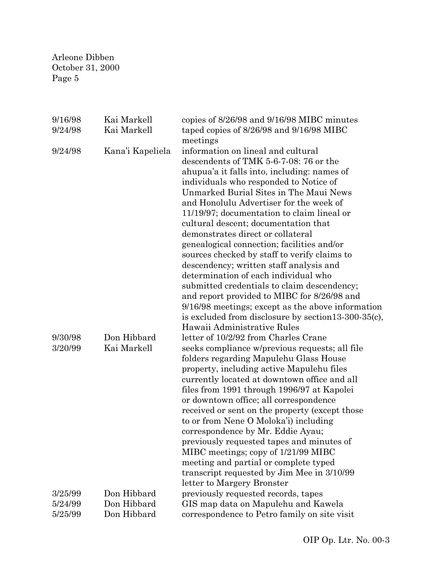| 9/16/98            | Kai Markell      | copies of 8/26/98 and 9/16/98 MIBC minutes          |
|--------------------|------------------|-----------------------------------------------------|
| 9/24/98            | Kai Markell      | taped copies of 8/26/98 and 9/16/98 MIBC            |
|                    |                  | meetings                                            |
| 9/24/98            | Kana'i Kapeliela | information on lineal and cultural                  |
|                    |                  | descendents of TMK 5-6-7-08: 76 or the              |
|                    |                  | ahupua'a it falls into, including: names of         |
|                    |                  | individuals who responded to Notice of              |
|                    |                  | Unmarked Burial Sites in The Maui News              |
|                    |                  | and Honolulu Advertiser for the week of             |
|                    |                  | 11/19/97; documentation to claim lineal or          |
|                    |                  | cultural descent; documentation that                |
|                    |                  | demonstrates direct or collateral                   |
|                    |                  | genealogical connection; facilities and/or          |
|                    |                  | sources checked by staff to verify claims to        |
|                    |                  | descendency; written staff analysis and             |
|                    |                  | determination of each individual who                |
|                    |                  | submitted credentials to claim descendency;         |
|                    |                  | and report provided to MIBC for 8/26/98 and         |
|                    |                  | 9/16/98 meetings; except as the above information   |
|                    |                  | is excluded from disclosure by section13-300-35(c), |
|                    |                  | Hawaii Administrative Rules                         |
| 9/30/98            | Don Hibbard      | letter of 10/2/92 from Charles Crane                |
| 3/20/99            | Kai Markell      | seeks compliance w/previous requests; all file      |
|                    |                  | folders regarding Mapulehu Glass House              |
|                    |                  | property, including active Mapulehu files           |
|                    |                  | currently located at downtown office and all        |
|                    |                  | files from 1991 through 1996/97 at Kapolei          |
|                    |                  | or downtown office; all correspondence              |
|                    |                  | received or sent on the property (except those      |
|                    |                  | to or from Nene O Moloka'i) including               |
|                    |                  | correspondence by Mr. Eddie Ayau;                   |
|                    |                  | previously requested tapes and minutes of           |
|                    |                  | MIBC meetings; copy of 1/21/99 MIBC                 |
|                    |                  | meeting and partial or complete typed               |
|                    |                  | transcript requested by Jim Mee in 3/10/99          |
|                    | Don Hibbard      | letter to Margery Bronster                          |
| 3/25/99<br>5/24/99 | Don Hibbard      | previously requested records, tapes                 |
|                    |                  | GIS map data on Mapulehu and Kawela                 |
| 5/25/99            | Don Hibbard      | correspondence to Petro family on site visit        |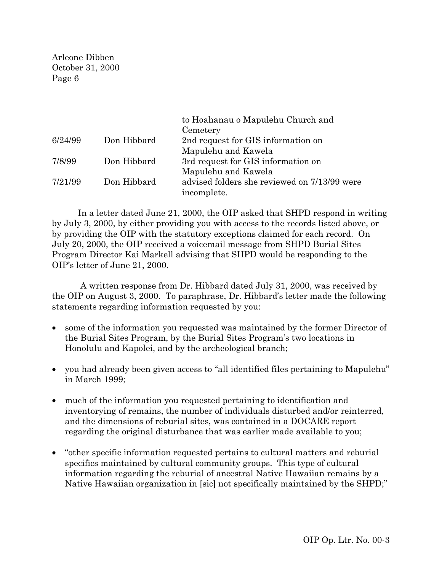|         |             | to Hoahanau o Mapulehu Church and            |
|---------|-------------|----------------------------------------------|
|         |             | Cemetery                                     |
| 6/24/99 | Don Hibbard | 2nd request for GIS information on           |
|         |             | Mapulehu and Kawela                          |
| 7/8/99  | Don Hibbard | 3rd request for GIS information on           |
|         |             | Mapulehu and Kawela                          |
| 7/21/99 | Don Hibbard | advised folders she reviewed on 7/13/99 were |
|         |             | incomplete.                                  |

In a letter dated June 21, 2000, the OIP asked that SHPD respond in writing by July 3, 2000, by either providing you with access to the records listed above, or by providing the OIP with the statutory exceptions claimed for each record. On July 20, 2000, the OIP received a voicemail message from SHPD Burial Sites Program Director Kai Markell advising that SHPD would be responding to the OIP's letter of June 21, 2000.

A written response from Dr. Hibbard dated July 31, 2000, was received by the OIP on August 3, 2000. To paraphrase, Dr. Hibbard's letter made the following statements regarding information requested by you:

- some of the information you requested was maintained by the former Director of the Burial Sites Program, by the Burial Sites Program's two locations in Honolulu and Kapolei, and by the archeological branch;
- you had already been given access to "all identified files pertaining to Mapulehu" in March 1999;
- much of the information you requested pertaining to identification and inventorying of remains, the number of individuals disturbed and/or reinterred, and the dimensions of reburial sites, was contained in a DOCARE report regarding the original disturbance that was earlier made available to you;
- "other specific information requested pertains to cultural matters and reburial specifics maintained by cultural community groups. This type of cultural information regarding the reburial of ancestral Native Hawaiian remains by a Native Hawaiian organization in [sic] not specifically maintained by the SHPD;"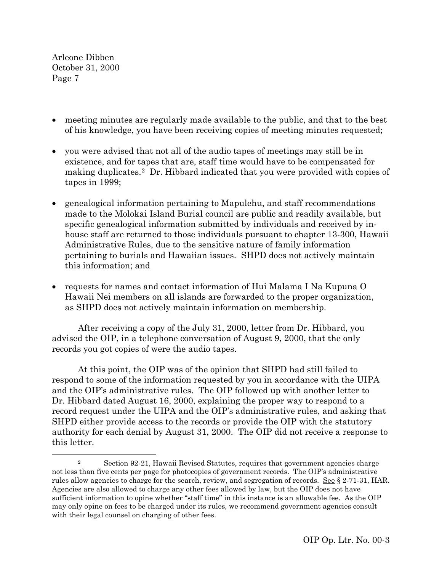- meeting minutes are regularly made available to the public, and that to the best of his knowledge, you have been receiving copies of meeting minutes requested;
- you were advised that not all of the audio tapes of meetings may still be in existence, and for tapes that are, staff time would have to be compensated for making duplicates.[2](#page-6-0) Dr. Hibbard indicated that you were provided with copies of tapes in 1999;
- genealogical information pertaining to Mapulehu, and staff recommendations made to the Molokai Island Burial council are public and readily available, but specific genealogical information submitted by individuals and received by inhouse staff are returned to those individuals pursuant to chapter 13-300, Hawaii Administrative Rules, due to the sensitive nature of family information pertaining to burials and Hawaiian issues. SHPD does not actively maintain this information; and
- requests for names and contact information of Hui Malama I Na Kupuna O Hawaii Nei members on all islands are forwarded to the proper organization, as SHPD does not actively maintain information on membership.

After receiving a copy of the July 31, 2000, letter from Dr. Hibbard, you advised the OIP, in a telephone conversation of August 9, 2000, that the only records you got copies of were the audio tapes.

At this point, the OIP was of the opinion that SHPD had still failed to respond to some of the information requested by you in accordance with the UIPA and the OIP's administrative rules. The OIP followed up with another letter to Dr. Hibbard dated August 16, 2000, explaining the proper way to respond to a record request under the UIPA and the OIP's administrative rules, and asking that SHPD either provide access to the records or provide the OIP with the statutory authority for each denial by August 31, 2000. The OIP did not receive a response to this letter.

<span id="page-6-0"></span> <sup>2</sup> Section 92-21, Hawaii Revised Statutes, requires that government agencies charge not less than five cents per page for photocopies of government records. The OIP's administrative rules allow agencies to charge for the search, review, and segregation of records. See § 2-71-31, HAR. Agencies are also allowed to charge any other fees allowed by law, but the OIP does not have sufficient information to opine whether "staff time" in this instance is an allowable fee. As the OIP may only opine on fees to be charged under its rules, we recommend government agencies consult with their legal counsel on charging of other fees.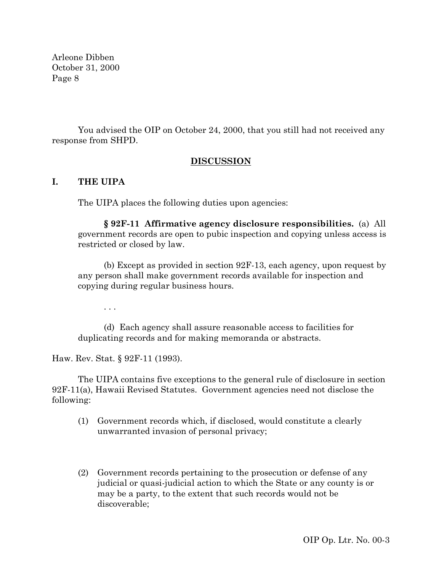You advised the OIP on October 24, 2000, that you still had not received any response from SHPD.

## **DISCUSSION**

## **I. THE UIPA**

The UIPA places the following duties upon agencies:

**§ 92F-11 Affirmative agency disclosure responsibilities.** (a) All government records are open to pubic inspection and copying unless access is restricted or closed by law.

(b) Except as provided in section 92F-13, each agency, upon request by any person shall make government records available for inspection and copying during regular business hours.

. . .

(d) Each agency shall assure reasonable access to facilities for duplicating records and for making memoranda or abstracts.

Haw. Rev. Stat. § 92F-11 (1993).

The UIPA contains five exceptions to the general rule of disclosure in section 92F-11(a), Hawaii Revised Statutes. Government agencies need not disclose the following:

- (1) Government records which, if disclosed, would constitute a clearly unwarranted invasion of personal privacy;
- (2) Government records pertaining to the prosecution or defense of any judicial or quasi-judicial action to which the State or any county is or may be a party, to the extent that such records would not be discoverable;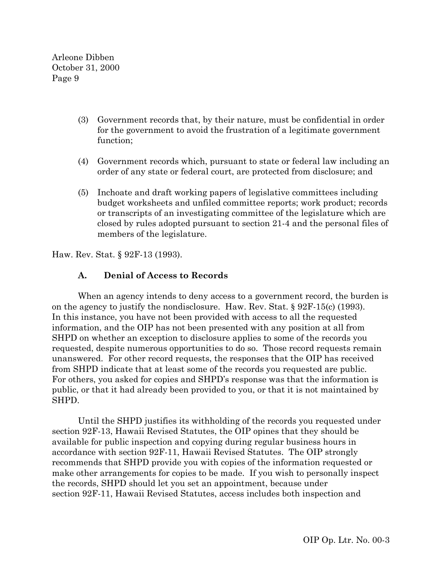- (3) Government records that, by their nature, must be confidential in order for the government to avoid the frustration of a legitimate government function;
- (4) Government records which, pursuant to state or federal law including an order of any state or federal court, are protected from disclosure; and
- (5) Inchoate and draft working papers of legislative committees including budget worksheets and unfiled committee reports; work product; records or transcripts of an investigating committee of the legislature which are closed by rules adopted pursuant to section 21-4 and the personal files of members of the legislature.

Haw. Rev. Stat. § 92F-13 (1993).

## **A. Denial of Access to Records**

When an agency intends to deny access to a government record, the burden is on the agency to justify the nondisclosure. Haw. Rev. Stat. § 92F-15(c) (1993). In this instance, you have not been provided with access to all the requested information, and the OIP has not been presented with any position at all from SHPD on whether an exception to disclosure applies to some of the records you requested, despite numerous opportunities to do so. Those record requests remain unanswered. For other record requests, the responses that the OIP has received from SHPD indicate that at least some of the records you requested are public. For others, you asked for copies and SHPD's response was that the information is public, or that it had already been provided to you, or that it is not maintained by SHPD.

Until the SHPD justifies its withholding of the records you requested under section 92F-13, Hawaii Revised Statutes, the OIP opines that they should be available for public inspection and copying during regular business hours in accordance with section 92F-11, Hawaii Revised Statutes. The OIP strongly recommends that SHPD provide you with copies of the information requested or make other arrangements for copies to be made. If you wish to personally inspect the records, SHPD should let you set an appointment, because under section 92F-11, Hawaii Revised Statutes, access includes both inspection and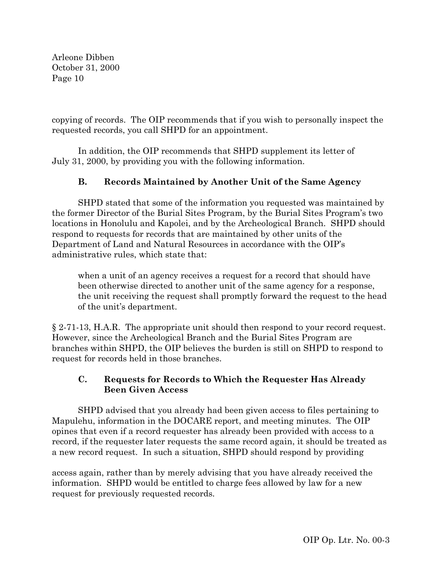copying of records. The OIP recommends that if you wish to personally inspect the requested records, you call SHPD for an appointment.

In addition, the OIP recommends that SHPD supplement its letter of July 31, 2000, by providing you with the following information.

# **B. Records Maintained by Another Unit of the Same Agency**

SHPD stated that some of the information you requested was maintained by the former Director of the Burial Sites Program, by the Burial Sites Program's two locations in Honolulu and Kapolei, and by the Archeological Branch. SHPD should respond to requests for records that are maintained by other units of the Department of Land and Natural Resources in accordance with the OIP's administrative rules, which state that:

when a unit of an agency receives a request for a record that should have been otherwise directed to another unit of the same agency for a response, the unit receiving the request shall promptly forward the request to the head of the unit's department.

§ 2-71-13, H.A.R. The appropriate unit should then respond to your record request. However, since the Archeological Branch and the Burial Sites Program are branches within SHPD, the OIP believes the burden is still on SHPD to respond to request for records held in those branches.

# **C. Requests for Records to Which the Requester Has Already Been Given Access**

SHPD advised that you already had been given access to files pertaining to Mapulehu, information in the DOCARE report, and meeting minutes. The OIP opines that even if a record requester has already been provided with access to a record, if the requester later requests the same record again, it should be treated as a new record request. In such a situation, SHPD should respond by providing

access again, rather than by merely advising that you have already received the information. SHPD would be entitled to charge fees allowed by law for a new request for previously requested records.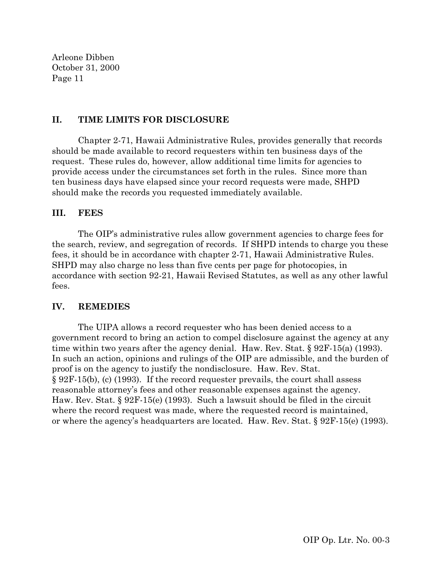### **II. TIME LIMITS FOR DISCLOSURE**

Chapter 2-71, Hawaii Administrative Rules, provides generally that records should be made available to record requesters within ten business days of the request. These rules do, however, allow additional time limits for agencies to provide access under the circumstances set forth in the rules. Since more than ten business days have elapsed since your record requests were made, SHPD should make the records you requested immediately available.

### **III. FEES**

The OIP's administrative rules allow government agencies to charge fees for the search, review, and segregation of records. If SHPD intends to charge you these fees, it should be in accordance with chapter 2-71, Hawaii Administrative Rules. SHPD may also charge no less than five cents per page for photocopies, in accordance with section 92-21, Hawaii Revised Statutes, as well as any other lawful fees.

### **IV. REMEDIES**

The UIPA allows a record requester who has been denied access to a government record to bring an action to compel disclosure against the agency at any time within two years after the agency denial. Haw. Rev. Stat. § 92F-15(a) (1993). In such an action, opinions and rulings of the OIP are admissible, and the burden of proof is on the agency to justify the nondisclosure. Haw. Rev. Stat. § 92F-15(b), (c) (1993). If the record requester prevails, the court shall assess reasonable attorney's fees and other reasonable expenses against the agency. Haw. Rev. Stat. § 92F-15(e) (1993). Such a lawsuit should be filed in the circuit where the record request was made, where the requested record is maintained, or where the agency's headquarters are located. Haw. Rev. Stat. § 92F-15(e) (1993).